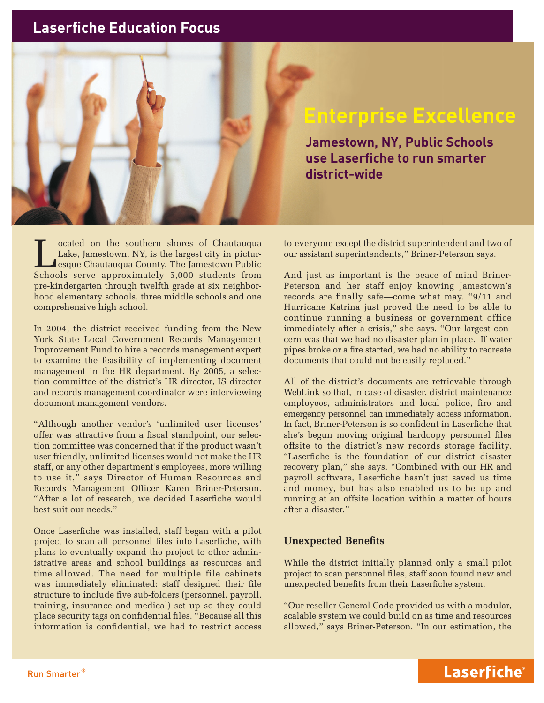# **Laserfiche Education Focus**



# **Enterprise Excellence**

**Jamestown, NY, Public Schools use Laserfi che to run smarter district-wide**

Coated on the southern shores of Chautauqua<br>Lake, Jamestown, NY, is the largest city in pictur-<br>esque Chautauqua County. The Jamestown Public<br>Schools serve approximately 5.000 students from Lake, Jamestown, NY, is the largest city in picturesque Chautauqua County. The Jamestown Public Schools serve approximately 5,000 students from pre-kindergarten through twelfth grade at six neighborhood elementary schools, three middle schools and one comprehensive high school.

In 2004, the district received funding from the New York State Local Government Records Management Improvement Fund to hire a records management expert to examine the feasibility of implementing document management in the HR department. By 2005, a selection committee of the district's HR director, IS director and records management coordinator were interviewing document management vendors.

"Although another vendor's 'unlimited user licenses' offer was attractive from a fiscal standpoint, our selection committee was concerned that if the product wasn't user friendly, unlimited licenses would not make the HR staff, or any other department's employees, more willing to use it," says Director of Human Resources and Records Management Officer Karen Briner-Peterson. "After a lot of research, we decided Laserfiche would best suit our needs."

Once Laserfiche was installed, staff began with a pilot project to scan all personnel files into Laserfiche, with plans to eventually expand the project to other administrative areas and school buildings as resources and time allowed. The need for multiple file cabinets was immediately eliminated: staff designed their file structure to include five sub-folders (personnel, payroll, training, insurance and medical) set up so they could place security tags on confidential files. "Because all this information is confidential, we had to restrict access to everyone except the district superintendent and two of our assistant superintendents," Briner-Peterson says.

And just as important is the peace of mind Briner-Peterson and her staff enjoy knowing Jamestown's records are finally safe-come what may. "9/11 and Hurricane Katrina just proved the need to be able to continue running a business or government office immediately after a crisis," she says. "Our largest concern was that we had no disaster plan in place. If water pipes broke or a fire started, we had no ability to recreate documents that could not be easily replaced."

All of the district's documents are retrievable through WebLink so that, in case of disaster, district maintenance employees, administrators and local police, fire and emergency personnel can immediately access information. In fact, Briner-Peterson is so confident in Laserfiche that she's begun moving original hardcopy personnel files offsite to the district's new records storage facility. "Laserfiche is the foundation of our district disaster recovery plan," she says. "Combined with our HR and payroll software, Laserfiche hasn't just saved us time and money, but has also enabled us to be up and running at an offsite location within a matter of hours after a disaster."

#### **Unexpected Benefits**

While the district initially planned only a small pilot project to scan personnel files, staff soon found new and unexpected benefits from their Laserfiche system.

"Our reseller General Code provided us with a modular, scalable system we could build on as time and resources allowed," says Briner-Peterson. "In our estimation, the